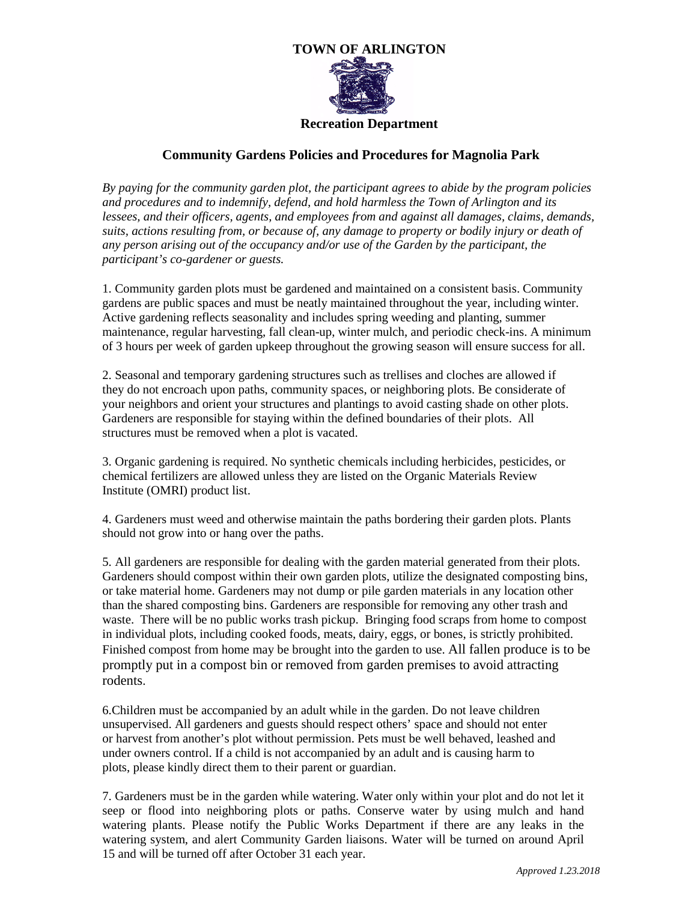

## **Community Gardens Policies and Procedures for Magnolia Park**

*By paying for the community garden plot, the participant agrees to abide by the program policies*  and procedures and to indemnify, defend, and hold harmless the Town of Arlington and its *lessees, and their officers, agents, and employees from and against all damages, claims, demands, suits, actions resulting from, or because of, any damage to property or bodily injury or death of any person arising out of the occupancy and/or use of the Garden by the participant, the participant's co-gardener or guests.*

1. Community garden plots must be gardened and maintained on a consistent basis. Community gardens are public spaces and must be neatly maintained throughout the year, including winter. Active gardening reflects seasonality and includes spring weeding and planting, summer maintenance, regular harvesting, fall clean-up, winter mulch, and periodic check-ins. A minimum of 3 hours per week of garden upkeep throughout the growing season will ensure success for all.

2. Seasonal and temporary gardening structures such as trellises and cloches are allowed if they do not encroach upon paths, community spaces, or neighboring plots. Be considerate of your neighbors and orient your structures and plantings to avoid casting shade on other plots. Gardeners are responsible for staying within the defined boundaries of their plots. All structures must be removed when a plot is vacated.

3. Organic gardening is required. No synthetic chemicals including herbicides, pesticides, or chemical fertilizers are allowed unless they are listed on the Organic Materials Review Institute (OMRI) product list.

4. Gardeners must weed and otherwise maintain the paths bordering their garden plots. Plants should not grow into or hang over the paths.

5. All gardeners are responsible for dealing with the garden material generated from their plots. Gardeners should compost within their own garden plots, utilize the designated composting bins, or take material home. Gardeners may not dump or pile garden materials in any location other than the shared composting bins. Gardeners are responsible for removing any other trash and waste. There will be no public works trash pickup. Bringing food scraps from home to compost in individual plots, including cooked foods, meats, dairy, eggs, or bones, is strictly prohibited. Finished compost from home may be brought into the garden to use. All fallen produce is to be promptly put in a compost bin or removed from garden premises to avoid attracting rodents.

6.Children must be accompanied by an adult while in the garden. Do not leave children unsupervised. All gardeners and guests should respect others' space and should not enter or harvest from another's plot without permission. Pets must be well behaved, leashed and under owners control. If a child is not accompanied by an adult and is causing harm to plots, please kindly direct them to their parent or guardian.

7. Gardeners must be in the garden while watering. Water only within your plot and do not let it seep or flood into neighboring plots or paths. Conserve water by using mulch and hand watering plants. Please notify the Public Works Department if there are any leaks in the watering system, and alert Community Garden liaisons. Water will be turned on around April 15 and will be turned off after October 31 each year.